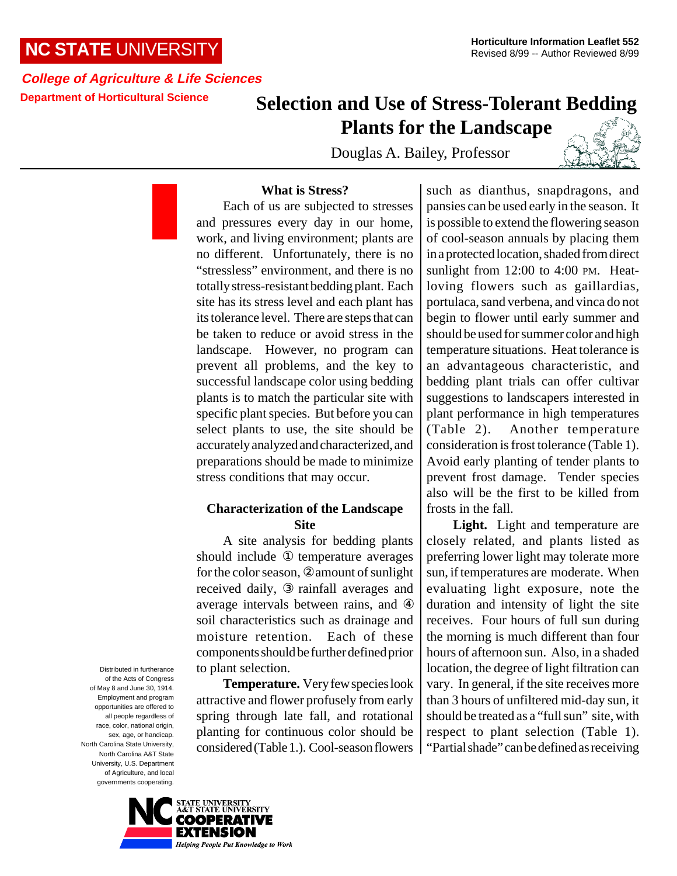## **NC STATE** UNIVERSITY

**College of Agriculture & Life Sciences Department of Horticultural Science**

# **Selection and Use of Stress-Tolerant Bedding Plants for the Landscape**

Douglas A. Bailey, Professor

#### **What is Stress?**

Each of us are subjected to stresses and pressures every day in our home, work, and living environment; plants are no different. Unfortunately, there is no "stressless" environment, and there is no totally stress-resistant bedding plant. Each site has its stress level and each plant has its tolerance level. There are steps that can be taken to reduce or avoid stress in the landscape. However, no program can prevent all problems, and the key to successful landscape color using bedding plants is to match the particular site with specific plant species. But before you can select plants to use, the site should be accurately analyzed and characterized, and preparations should be made to minimize stress conditions that may occur.

#### **Characterization of the Landscape Site**

A site analysis for bedding plants should include ① temperature averages for the color season, ② amount of sunlight received daily, ③ rainfall averages and average intervals between rains, and ④ soil characteristics such as drainage and moisture retention. Each of these components should be further defined prior to plant selection.

**Temperature.** Very few species look attractive and flower profusely from early spring through late fall, and rotational planting for continuous color should be considered (Table 1.). Cool-season flowers such as dianthus, snapdragons, and pansies can be used early in the season. It is possible to extend the flowering season of cool-season annuals by placing them in a protected location, shaded from direct sunlight from 12:00 to 4:00 PM. Heatloving flowers such as gaillardias, portulaca, sand verbena, and vinca do not begin to flower until early summer and should be used for summer color and high temperature situations. Heat tolerance is an advantageous characteristic, and bedding plant trials can offer cultivar suggestions to landscapers interested in plant performance in high temperatures (Table 2). Another temperature consideration is frost tolerance (Table 1). Avoid early planting of tender plants to prevent frost damage. Tender species also will be the first to be killed from frosts in the fall.

**Light.** Light and temperature are closely related, and plants listed as preferring lower light may tolerate more sun, if temperatures are moderate. When evaluating light exposure, note the duration and intensity of light the site receives. Four hours of full sun during the morning is much different than four hours of afternoon sun. Also, in a shaded location, the degree of light filtration can vary. In general, if the site receives more than 3 hours of unfiltered mid-day sun, it should be treated as a "full sun" site, with respect to plant selection (Table 1). "Partial shade" can be defined as receiving

Distributed in furtherance of the Acts of Congress of May 8 and June 30, 1914. Employment and program opportunities are offered to all people regardless of race, color, national origin, sex, age, or handicap. North Carolina State University, North Carolina A&T State University, U.S. Department of Agriculture, and local governments cooperating.

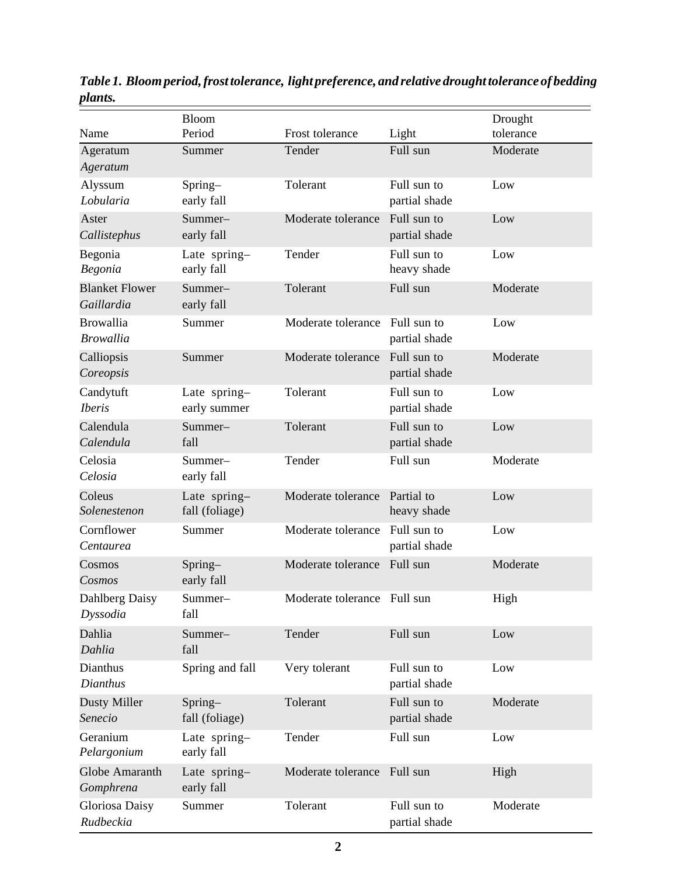| Name                                 | <b>Bloom</b><br>Period         | Frost tolerance             |                              | Drought<br>tolerance |
|--------------------------------------|--------------------------------|-----------------------------|------------------------------|----------------------|
|                                      |                                |                             | Light                        |                      |
| Ageratum<br>Ageratum                 | Summer                         | Tender                      | Full sun                     | Moderate             |
| Alyssum                              | Spring-                        | Tolerant                    | Full sun to                  | Low                  |
| Lobularia                            | early fall                     |                             | partial shade                |                      |
| Aster<br>Callistephus                | Summer-<br>early fall          | Moderate tolerance          | Full sun to<br>partial shade | Low                  |
| Begonia<br>Begonia                   | Late spring-<br>early fall     | Tender                      | Full sun to<br>heavy shade   | Low                  |
| <b>Blanket Flower</b><br>Gaillardia  | Summer-<br>early fall          | Tolerant                    | Full sun                     | Moderate             |
| <b>Browallia</b><br><b>Browallia</b> | Summer                         | Moderate tolerance          | Full sun to<br>partial shade | Low                  |
| Calliopsis<br>Coreopsis              | Summer                         | Moderate tolerance          | Full sun to<br>partial shade | Moderate             |
| Candytuft<br><b>Iberis</b>           | Late spring-<br>early summer   | Tolerant                    | Full sun to<br>partial shade | Low                  |
| Calendula<br>Calendula               | Summer-<br>fall                | Tolerant                    | Full sun to<br>partial shade | Low                  |
| Celosia<br>Celosia                   | Summer-<br>early fall          | Tender                      | Full sun                     | Moderate             |
| Coleus<br>Solenestenon               | Late spring-<br>fall (foliage) | Moderate tolerance          | Partial to<br>heavy shade    | Low                  |
| Cornflower<br>Centaurea              | Summer                         | Moderate tolerance          | Full sun to<br>partial shade | Low                  |
| Cosmos<br>Cosmos                     | Spring-<br>early fall          | Moderate tolerance          | Full sun                     | Moderate             |
| Dahlberg Daisy<br>Dyssodia           | Summer-<br>fall                | Moderate tolerance Full sun |                              | High                 |
| Dahlia<br>Dahlia                     | Summer-<br>fall                | Tender                      | Full sun                     | Low                  |
| Dianthus<br>Dianthus                 | Spring and fall                | Very tolerant               | Full sun to<br>partial shade | Low                  |
| <b>Dusty Miller</b><br>Senecio       | Spring-<br>fall (foliage)      | Tolerant                    | Full sun to<br>partial shade | Moderate             |
| Geranium<br>Pelargonium              | Late spring-<br>early fall     | Tender                      | Full sun                     | Low                  |
| Globe Amaranth<br>Gomphrena          | Late spring-<br>early fall     | Moderate tolerance Full sun |                              | High                 |
| Gloriosa Daisy<br>Rudbeckia          | Summer                         | Tolerant                    | Full sun to<br>partial shade | Moderate             |

*Table 1. Bloom period, frost tolerance, light preference, and relative drought tolerance of bedding plants.*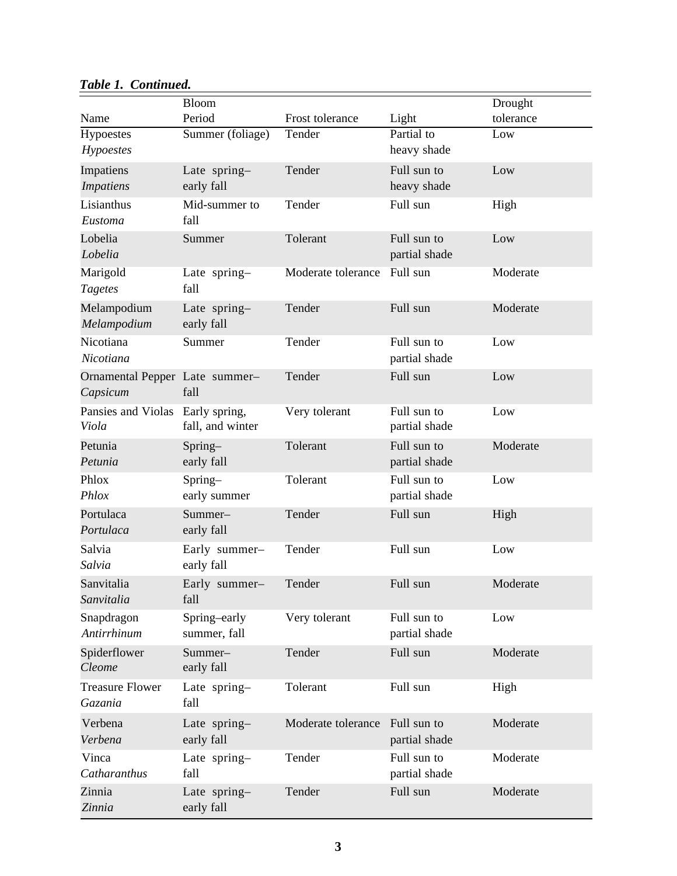| Name                                       | <b>Bloom</b><br>Period            | Frost tolerance    | Light                        | Drought<br>tolerance |
|--------------------------------------------|-----------------------------------|--------------------|------------------------------|----------------------|
| Hypoestes                                  | Summer (foliage)                  | Tender             | Partial to                   | Low                  |
| Hypoestes                                  |                                   |                    | heavy shade                  |                      |
| Impatiens<br><b>Impatiens</b>              | Late spring-<br>early fall        | Tender             | Full sun to<br>heavy shade   | Low                  |
| Lisianthus<br>Eustoma                      | Mid-summer to<br>fall             | Tender             | Full sun                     | High                 |
| Lobelia<br>Lobelia                         | Summer                            | Tolerant           | Full sun to<br>partial shade | Low                  |
| Marigold<br><b>Tagetes</b>                 | Late spring-<br>fall              | Moderate tolerance | Full sun                     | Moderate             |
| Melampodium<br>Melampodium                 | Late spring-<br>early fall        | Tender             | Full sun                     | Moderate             |
| Nicotiana<br>Nicotiana                     | Summer                            | Tender             | Full sun to<br>partial shade | Low                  |
| Ornamental Pepper Late summer-<br>Capsicum | fall                              | Tender             | Full sun                     | Low                  |
| Pansies and Violas<br>Viola                | Early spring,<br>fall, and winter | Very tolerant      | Full sun to<br>partial shade | Low                  |
| Petunia<br>Petunia                         | Spring-<br>early fall             | Tolerant           | Full sun to<br>partial shade | Moderate             |
| Phlox<br>Phlox                             | Spring-<br>early summer           | Tolerant           | Full sun to<br>partial shade | Low                  |
| Portulaca<br>Portulaca                     | Summer-<br>early fall             | Tender             | Full sun                     | High                 |
| Salvia<br>Salvia                           | Early summer-<br>early fall       | Tender             | Full sun                     | Low                  |
| Sanvitalia<br>Sanvitalia                   | Early summer-<br>fall             | Tender             | Full sun                     | Moderate             |
| Snapdragon<br>Antirrhinum                  | Spring-early<br>summer, fall      | Very tolerant      | Full sun to<br>partial shade | Low                  |
| Spiderflower<br>Cleome                     | Summer-<br>early fall             | Tender             | Full sun                     | Moderate             |
| <b>Treasure Flower</b><br>Gazania          | Late spring-<br>fall              | Tolerant           | Full sun                     | High                 |
| Verbena<br>Verbena                         | Late spring-<br>early fall        | Moderate tolerance | Full sun to<br>partial shade | Moderate             |
| Vinca<br>Catharanthus                      | Late spring-<br>fall              | Tender             | Full sun to<br>partial shade | Moderate             |
| Zinnia<br>Zinnia                           | Late spring-<br>early fall        | Tender             | Full sun                     | Moderate             |

### *Table 1. Continued.*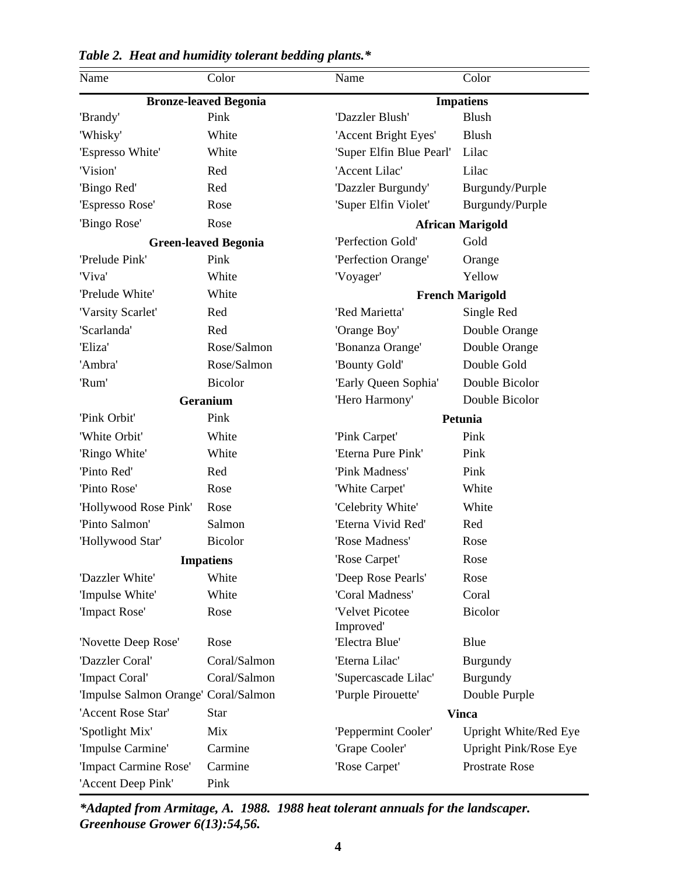| Name                                 | Color                        | Name                                | Color                   |  |  |
|--------------------------------------|------------------------------|-------------------------------------|-------------------------|--|--|
|                                      | <b>Bronze-leaved Begonia</b> | <b>Impatiens</b>                    |                         |  |  |
| 'Brandy'                             | Pink                         | 'Dazzler Blush'                     | Blush                   |  |  |
| 'Whisky'                             | White                        | 'Accent Bright Eyes'                | <b>Blush</b>            |  |  |
| 'Espresso White'                     | White                        | 'Super Elfin Blue Pearl'            | Lilac                   |  |  |
| 'Vision'                             | Red                          | 'Accent Lilac'                      | Lilac                   |  |  |
| 'Bingo Red'                          | Red                          | 'Dazzler Burgundy'                  | Burgundy/Purple         |  |  |
| 'Espresso Rose'                      | Rose                         | 'Super Elfin Violet'                | Burgundy/Purple         |  |  |
| 'Bingo Rose'                         | Rose                         |                                     | <b>African Marigold</b> |  |  |
|                                      | <b>Green-leaved Begonia</b>  | 'Perfection Gold'                   | Gold                    |  |  |
| 'Prelude Pink'                       | Pink                         | 'Perfection Orange'                 | Orange                  |  |  |
| 'Viva'                               | White                        | 'Voyager'                           | Yellow                  |  |  |
| 'Prelude White'                      | White                        |                                     | <b>French Marigold</b>  |  |  |
| 'Varsity Scarlet'                    | Red                          | 'Red Marietta'                      | Single Red              |  |  |
| 'Scarlanda'                          | Red                          | 'Orange Boy'                        | Double Orange           |  |  |
| 'Eliza'                              | Rose/Salmon                  | 'Bonanza Orange'                    | Double Orange           |  |  |
| 'Ambra'                              | Rose/Salmon                  | 'Bounty Gold'                       | Double Gold             |  |  |
| 'Rum'                                | Bicolor                      | 'Early Queen Sophia'                | Double Bicolor          |  |  |
|                                      | Geranium                     | 'Hero Harmony'                      | Double Bicolor          |  |  |
| 'Pink Orbit'<br>Pink                 |                              | Petunia                             |                         |  |  |
| 'White Orbit'                        | White                        | 'Pink Carpet'                       | Pink                    |  |  |
| 'Ringo White'                        | White                        | 'Eterna Pure Pink'                  | Pink                    |  |  |
| 'Pinto Red'                          | Red                          | 'Pink Madness'                      | Pink                    |  |  |
| 'Pinto Rose'                         | Rose                         | 'White Carpet'                      | White                   |  |  |
| 'Hollywood Rose Pink'                | Rose                         | 'Celebrity White'                   | White                   |  |  |
| 'Pinto Salmon'                       | Salmon                       | 'Eterna Vivid Red'                  | Red                     |  |  |
| 'Hollywood Star'                     | <b>Bicolor</b>               | 'Rose Madness'                      | Rose                    |  |  |
|                                      | <b>Impatiens</b>             | 'Rose Carpet'                       | Rose                    |  |  |
| 'Dazzler White'                      | White                        | 'Deep Rose Pearls'                  | Rose                    |  |  |
| 'Impulse White'                      | White                        | 'Coral Madness'                     | Coral                   |  |  |
| 'Impact Rose'                        | Rose                         | 'Velvet Picotee                     | <b>Bicolor</b>          |  |  |
|                                      |                              | Improved'                           |                         |  |  |
| 'Novette Deep Rose'                  | Rose                         | 'Electra Blue'                      | Blue                    |  |  |
| 'Dazzler Coral'                      | Coral/Salmon                 | 'Eterna Lilac'                      | Burgundy                |  |  |
| 'Impact Coral'                       | Coral/Salmon                 | 'Supercascade Lilac'                | <b>Burgundy</b>         |  |  |
| 'Impulse Salmon Orange' Coral/Salmon |                              | 'Purple Pirouette'<br>Double Purple |                         |  |  |
| 'Accent Rose Star'<br>Star           |                              | <b>Vinca</b>                        |                         |  |  |
| 'Spotlight Mix'                      | Mix                          | 'Peppermint Cooler'                 | Upright White/Red Eye   |  |  |
| 'Impulse Carmine'                    | Carmine                      | 'Grape Cooler'                      | Upright Pink/Rose Eye   |  |  |
| 'Impact Carmine Rose'                | Carmine                      | 'Rose Carpet'                       | Prostrate Rose          |  |  |
| 'Accent Deep Pink'                   | Pink                         |                                     |                         |  |  |

*Table 2. Heat and humidity tolerant bedding plants.\**

*\*Adapted from Armitage, A. 1988. 1988 heat tolerant annuals for the landscaper. Greenhouse Grower 6(13):54,56.*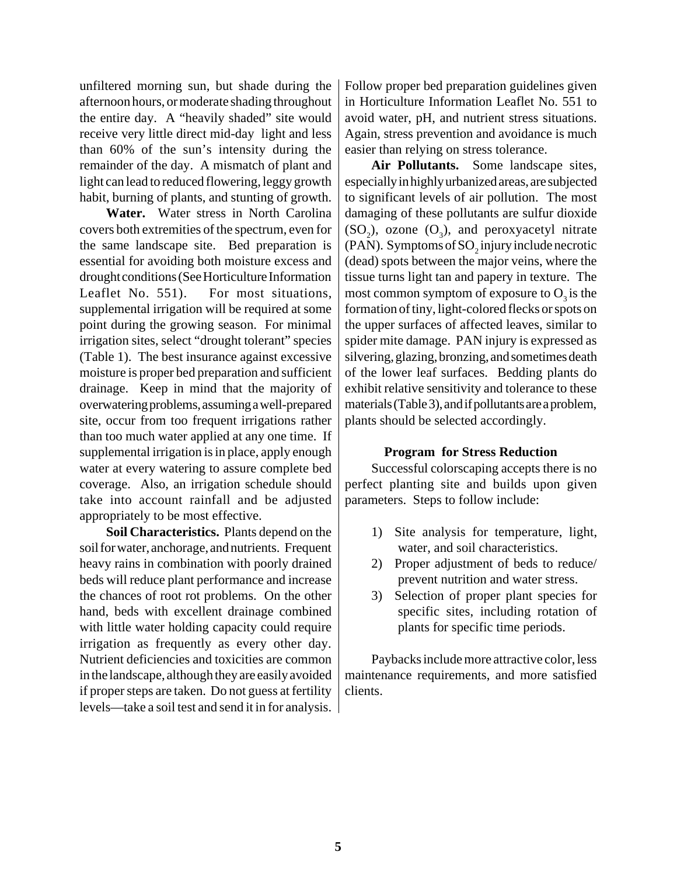unfiltered morning sun, but shade during the afternoon hours, or moderate shading throughout the entire day. A "heavily shaded" site would receive very little direct mid-day light and less than 60% of the sun's intensity during the remainder of the day. A mismatch of plant and light can lead to reduced flowering, leggy growth habit, burning of plants, and stunting of growth.

**Water.** Water stress in North Carolina covers both extremities of the spectrum, even for the same landscape site. Bed preparation is essential for avoiding both moisture excess and drought conditions (See Horticulture Information Leaflet No. 551). For most situations, supplemental irrigation will be required at some point during the growing season. For minimal irrigation sites, select "drought tolerant" species (Table 1). The best insurance against excessive moisture is proper bed preparation and sufficient drainage. Keep in mind that the majority of overwatering problems, assuming a well-prepared site, occur from too frequent irrigations rather than too much water applied at any one time. If supplemental irrigation is in place, apply enough water at every watering to assure complete bed coverage. Also, an irrigation schedule should take into account rainfall and be adjusted appropriately to be most effective.

**Soil Characteristics.** Plants depend on the soil for water, anchorage, and nutrients. Frequent heavy rains in combination with poorly drained beds will reduce plant performance and increase the chances of root rot problems. On the other hand, beds with excellent drainage combined with little water holding capacity could require irrigation as frequently as every other day. Nutrient deficiencies and toxicities are common in the landscape, although they are easily avoided if proper steps are taken. Do not guess at fertility levels—take a soil test and send it in for analysis.

Follow proper bed preparation guidelines given in Horticulture Information Leaflet No. 551 to avoid water, pH, and nutrient stress situations. Again, stress prevention and avoidance is much easier than relying on stress tolerance.

**Air Pollutants.** Some landscape sites, especially in highly urbanized areas, are subjected to significant levels of air pollution. The most damaging of these pollutants are sulfur dioxide  $(SO_2)$ , ozone  $(O_3)$ , and peroxyacetyl nitrate (PAN). Symptoms of  $\mathrm{SO}_2$  injury include necrotic (dead) spots between the major veins, where the tissue turns light tan and papery in texture. The most common symptom of exposure to  $O<sub>2</sub>$  is the formation of tiny, light-colored flecks or spots on the upper surfaces of affected leaves, similar to spider mite damage. PAN injury is expressed as silvering, glazing, bronzing, and sometimes death of the lower leaf surfaces. Bedding plants do exhibit relative sensitivity and tolerance to these materials (Table 3), and if pollutants are a problem, plants should be selected accordingly.

#### **Program for Stress Reduction**

Successful colorscaping accepts there is no perfect planting site and builds upon given parameters. Steps to follow include:

- 1) Site analysis for temperature, light, water, and soil characteristics.
- 2) Proper adjustment of beds to reduce/ prevent nutrition and water stress.
- 3) Selection of proper plant species for specific sites, including rotation of plants for specific time periods.

Paybacks include more attractive color, less maintenance requirements, and more satisfied clients.